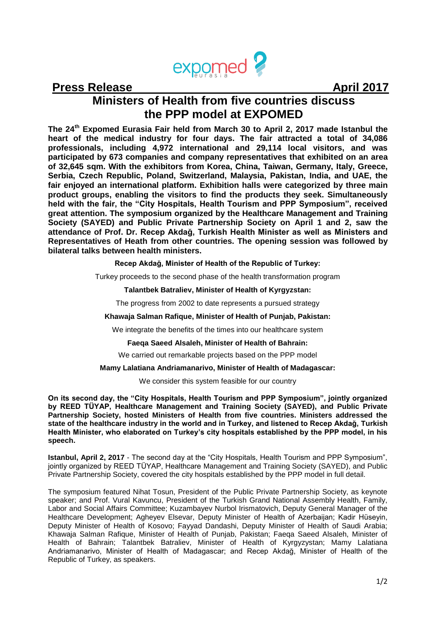

# **Press Release April 2017**

# **Ministers of Health from five countries discuss the PPP model at EXPOMED**

**The 24th Expomed Eurasia Fair held from March 30 to April 2, 2017 made Istanbul the heart of the medical industry for four days. The fair attracted a total of 34,086 professionals, including 4,972 international and 29,114 local visitors, and was participated by 673 companies and company representatives that exhibited on an area of 32,645 sqm. With the exhibitors from Korea, China, Taiwan, Germany, Italy, Greece, Serbia, Czech Republic, Poland, Switzerland, Malaysia, Pakistan, India, and UAE, the fair enjoyed an international platform. Exhibition halls were categorized by three main product groups, enabling the visitors to find the products they seek. Simultaneously held with the fair, the "City Hospitals, Health Tourism and PPP Symposium", received great attention. The symposium organized by the Healthcare Management and Training Society (SAYED) and Public Private Partnership Society on April 1 and 2, saw the attendance of Prof. Dr. Recep Akdağ, Turkish Health Minister as well as Ministers and Representatives of Heath from other countries. The opening session was followed by bilateral talks between health ministers.**

**Recep Akdağ, Minister of Health of the Republic of Turkey:** 

Turkey proceeds to the second phase of the health transformation program

**Talantbek Batraliev, Minister of Health of Kyrgyzstan:** 

The progress from 2002 to date represents a pursued strategy

**Khawaja Salman Rafique, Minister of Health of Punjab, Pakistan:** 

We integrate the benefits of the times into our healthcare system

**Faeqa Saeed Alsaleh, Minister of Health of Bahrain:** 

We carried out remarkable projects based on the PPP model

# **Mamy Lalatiana Andriamanarivo, Minister of Health of Madagascar:**

We consider this system feasible for our country

**On its second day, the "City Hospitals, Health Tourism and PPP Symposium", jointly organized by REED TÜYAP, Healthcare Management and Training Society (SAYED), and Public Private Partnership Society, hosted Ministers of Health from five countries. Ministers addressed the state of the healthcare industry in the world and in Turkey, and listened to Recep Akdağ, Turkish Health Minister, who elaborated on Turkey's city hospitals established by the PPP model, in his speech.**

**Istanbul, April 2, 2017** - The second day at the "City Hospitals, Health Tourism and PPP Symposium", jointly organized by REED TÜYAP, Healthcare Management and Training Society (SAYED), and Public Private Partnership Society, covered the city hospitals established by the PPP model in full detail.

The symposium featured Nihat Tosun, President of the Public Private Partnership Society, as keynote speaker; and Prof. Vural Kavuncu, President of the Turkish Grand National Assembly Health, Family, Labor and Social Affairs Committee; Kuzambayev Nurbol Irismatovich, Deputy General Manager of the Healthcare Development; Agheyev Elsevar, Deputy Minister of Health of Azerbaijan; Kadir Hüseyin, Deputy Minister of Health of Kosovo; Fayyad Dandashi, Deputy Minister of Health of Saudi Arabia; Khawaja Salman Rafique, Minister of Health of Punjab, Pakistan; Faeqa Saeed Alsaleh, Minister of Health of Bahrain; Talantbek Batraliev, Minister of Health of Kyrgyzystan; Mamy Lalatiana Andriamanarivo, Minister of Health of Madagascar; and Recep Akdağ, Minister of Health of the Republic of Turkey, as speakers.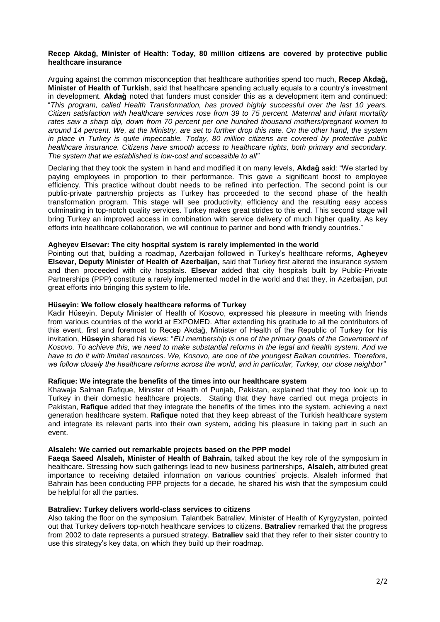## **Recep Akdağ, Minister of Health: Today, 80 million citizens are covered by protective public healthcare insurance**

Arguing against the common misconception that healthcare authorities spend too much, **Recep Akdağ, Minister of Health of Turkish**, said that healthcare spending actually equals to a country's investment in development. **Akdağ** noted that funders must consider this as a development item and continued: "*This program, called Health Transformation, has proved highly successful over the last 10 years. Citizen satisfaction with healthcare services rose from 39 to 75 percent. Maternal and infant mortality rates saw a sharp dip, down from 70 percent per one hundred thousand mothers/pregnant women to around 14 percent. We, at the Ministry, are set to further drop this rate. On the other hand, the system in place in Turkey is quite impeccable. Today, 80 million citizens are covered by protective public healthcare insurance. Citizens have smooth access to healthcare rights, both primary and secondary. The system that we established is low-cost and accessible to all"*

Declaring that they took the system in hand and modified it on many levels, **Akdağ** said: "We started by paying employees in proportion to their performance. This gave a significant boost to employee efficiency. This practice without doubt needs to be refined into perfection. The second point is our public-private partnership projects as Turkey has proceeded to the second phase of the health transformation program. This stage will see productivity, efficiency and the resulting easy access culminating in top-notch quality services. Turkey makes great strides to this end. This second stage will bring Turkey an improved access in combination with service delivery of much higher quality. As key efforts into healthcare collaboration, we will continue to partner and bond with friendly countries."

### **Agheyev Elsevar: The city hospital system is rarely implemented in the world**

Pointing out that, building a roadmap, Azerbaijan followed in Turkey's healthcare reforms, **Agheyev Elsevar, Deputy Minister of Health of Azerbaijan,** said that Turkey first altered the insurance system and then proceeded with city hospitals. **Elsevar** added that city hospitals built by Public-Private Partnerships (PPP) constitute a rarely implemented model in the world and that they, in Azerbaijan, put great efforts into bringing this system to life.

#### **Hüseyin: We follow closely healthcare reforms of Turkey**

Kadir Hüseyin, Deputy Minister of Health of Kosovo, expressed his pleasure in meeting with friends from various countries of the world at EXPOMED. After extending his gratitude to all the contributors of this event, first and foremost to Recep Akdağ, Minister of Health of the Republic of Turkey for his invitation, **Hüseyin** shared his views: "*EU membership is one of the primary goals of the Government of Kosovo. To achieve this, we need to make substantial reforms in the legal and health system. And we*  have to do it with limited resources. We, Kosovo, are one of the youngest Balkan countries. Therefore, *we follow closely the healthcare reforms across the world, and in particular, Turkey, our close neighbor"* 

## **Rafique: We integrate the benefits of the times into our healthcare system**

Khawaja Salman Rafique, Minister of Health of Punjab, Pakistan, explained that they too look up to Turkey in their domestic healthcare projects. Stating that they have carried out mega projects in Pakistan, **Rafique** added that they integrate the benefits of the times into the system, achieving a next generation healthcare system. **Rafique** noted that they keep abreast of the Turkish healthcare system and integrate its relevant parts into their own system, adding his pleasure in taking part in such an event.

#### **Alsaleh: We carried out remarkable projects based on the PPP model**

**Faeqa Saeed Alsaleh, Minister of Health of Bahrain,** talked about the key role of the symposium in healthcare. Stressing how such gatherings lead to new business partnerships, **Alsaleh**, attributed great importance to receiving detailed information on various countries' projects. Alsaleh informed that Bahrain has been conducting PPP projects for a decade, he shared his wish that the symposium could be helpful for all the parties.

#### **Batraliev: Turkey delivers world-class services to citizens**

Also taking the floor on the symposium, Talantbek Batraliev, Minister of Health of Kyrgyzystan, pointed out that Turkey delivers top-notch healthcare services to citizens. **Batraliev** remarked that the progress from 2002 to date represents a pursued strategy. **Batraliev** said that they refer to their sister country to use this strategy's key data, on which they build up their roadmap.